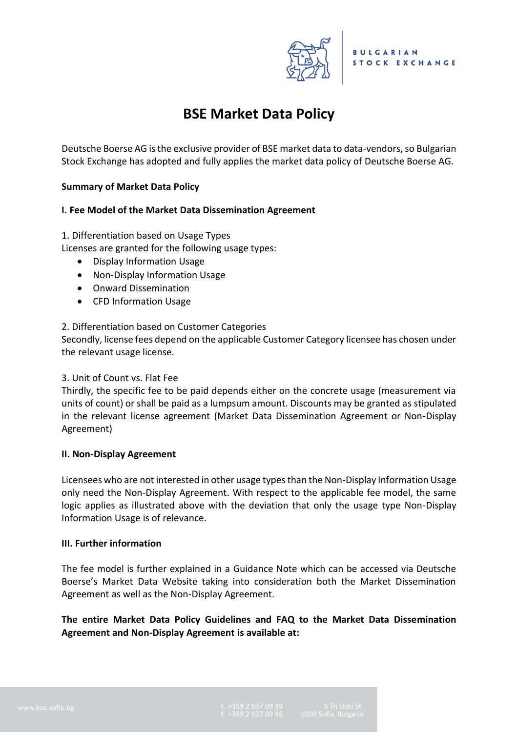

# **BSE Market Data Policy**

Deutsche Boerse AG is the exclusive provider of BSE market data to data-vendors, so Bulgarian Stock Exchange has adopted and fully applies the market data policy of Deutsche Boerse AG.

### **Summary of Market Data Policy**

## **I. Fee Model of the Market Data Dissemination Agreement**

### 1. Differentiation based on Usage Types

Licenses are granted for the following usage types:

- Display Information Usage
- Non-Display Information Usage
- Onward Dissemination
- CFD Information Usage

### 2. Differentiation based on Customer Categories

Secondly, license fees depend on the applicable Customer Category licensee has chosen under the relevant usage license.

### 3. Unit of Count vs. Flat Fee

Thirdly, the specific fee to be paid depends either on the concrete usage (measurement via units of count) or shall be paid as a lumpsum amount. Discounts may be granted as stipulated in the relevant license agreement (Market Data Dissemination Agreement or Non-Display Agreement)

### **II. Non-Display Agreement**

Licensees who are not interested in other usage types than the Non-Display Information Usage only need the Non-Display Agreement. With respect to the applicable fee model, the same logic applies as illustrated above with the deviation that only the usage type Non-Display Information Usage is of relevance.

### **III. Further information**

The fee model is further explained in a Guidance Note which can be accessed via Deutsche Boerse's Market Data Website taking into consideration both the Market Dissemination Agreement as well as the Non-Display Agreement.

**The entire Market Data Policy Guidelines and FAQ to the Market Data Dissemination Agreement and Non-Display Agreement is available at:**